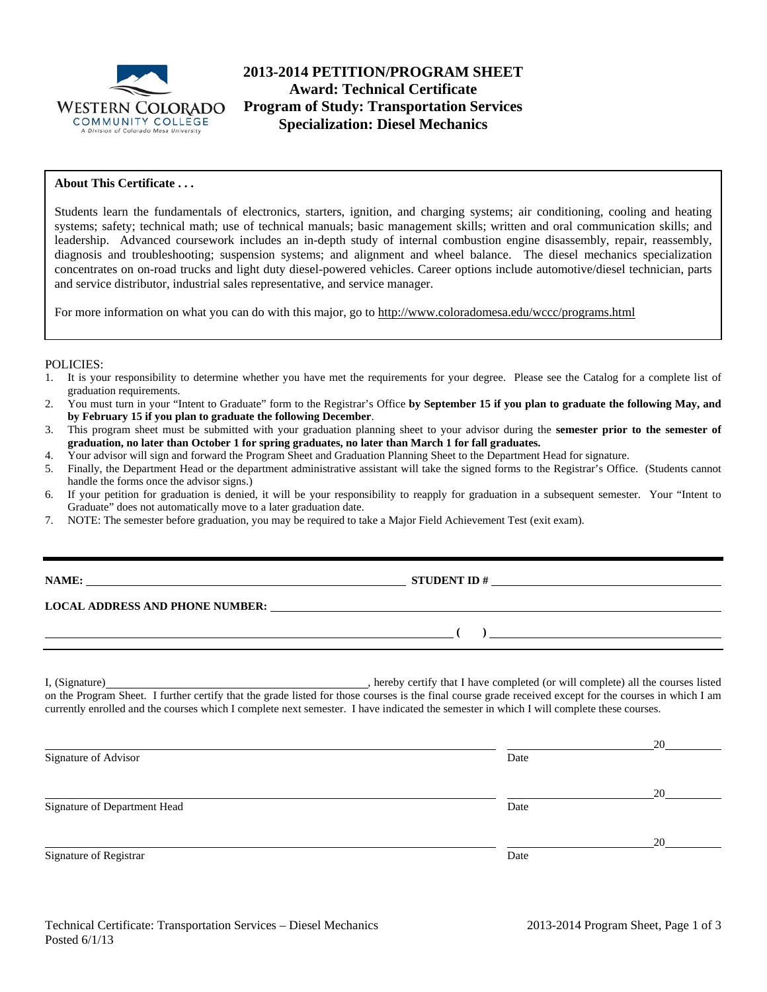

# **2013-2014 PETITION/PROGRAM SHEET Award: Technical Certificate Program of Study: Transportation Services Specialization: Diesel Mechanics**

### **About This Certificate . . .**

Students learn the fundamentals of electronics, starters, ignition, and charging systems; air conditioning, cooling and heating systems; safety; technical math; use of technical manuals; basic management skills; written and oral communication skills; and leadership. Advanced coursework includes an in-depth study of internal combustion engine disassembly, repair, reassembly, diagnosis and troubleshooting; suspension systems; and alignment and wheel balance. The diesel mechanics specialization concentrates on on-road trucks and light duty diesel-powered vehicles. Career options include automotive/diesel technician, parts and service distributor, industrial sales representative, and service manager.

For more information on what you can do with this major, go to http://www.coloradomesa.edu/wccc/programs.html

### POLICIES:

- 1. It is your responsibility to determine whether you have met the requirements for your degree. Please see the Catalog for a complete list of graduation requirements.
- 2. You must turn in your "Intent to Graduate" form to the Registrar's Office **by September 15 if you plan to graduate the following May, and by February 15 if you plan to graduate the following December**.
- 3. This program sheet must be submitted with your graduation planning sheet to your advisor during the **semester prior to the semester of graduation, no later than October 1 for spring graduates, no later than March 1 for fall graduates.**
- 4. Your advisor will sign and forward the Program Sheet and Graduation Planning Sheet to the Department Head for signature.
- 5. Finally, the Department Head or the department administrative assistant will take the signed forms to the Registrar's Office. (Students cannot handle the forms once the advisor signs.)
- 6. If your petition for graduation is denied, it will be your responsibility to reapply for graduation in a subsequent semester. Your "Intent to Graduate" does not automatically move to a later graduation date.
- 7. NOTE: The semester before graduation, you may be required to take a Major Field Achievement Test (exit exam).

| <b>\AME:</b> |  |
|--------------|--|
|              |  |

**NAME: STUDENT ID #**

 **( )** 

**LOCAL ADDRESS AND PHONE NUMBER:**

I, (Signature) , hereby certify that I have completed (or will complete) all the courses listed on the Program Sheet. I further certify that the grade listed for those courses is the final course grade received except for the courses in which I am currently enrolled and the courses which I complete next semester. I have indicated the semester in which I will complete these courses.

|                              |      | 20 |
|------------------------------|------|----|
| Signature of Advisor         | Date |    |
|                              |      | 20 |
| Signature of Department Head | Date |    |
|                              |      | 20 |
| Signature of Registrar       | Date |    |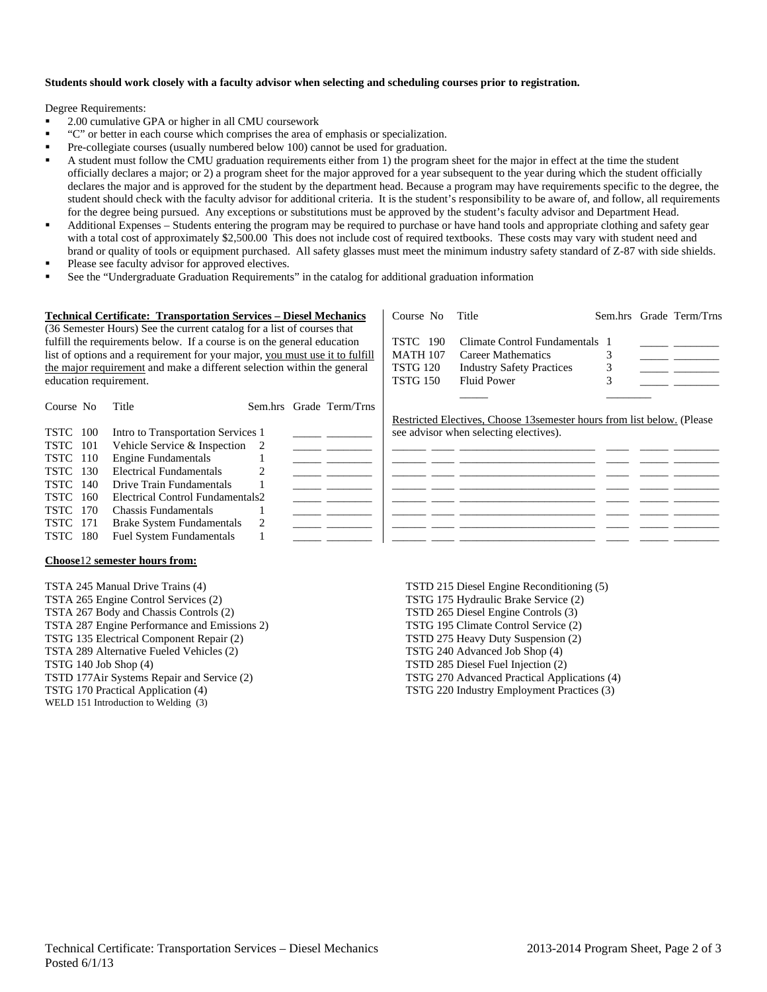#### **Students should work closely with a faculty advisor when selecting and scheduling courses prior to registration.**

Degree Requirements:

- 2.00 cumulative GPA or higher in all CMU coursework
- "C" or better in each course which comprises the area of emphasis or specialization.
- Pre-collegiate courses (usually numbered below 100) cannot be used for graduation.
- A student must follow the CMU graduation requirements either from 1) the program sheet for the major in effect at the time the student officially declares a major; or 2) a program sheet for the major approved for a year subsequent to the year during which the student officially declares the major and is approved for the student by the department head. Because a program may have requirements specific to the degree, the student should check with the faculty advisor for additional criteria. It is the student's responsibility to be aware of, and follow, all requirements for the degree being pursued. Any exceptions or substitutions must be approved by the student's faculty advisor and Department Head.
- Additional Expenses Students entering the program may be required to purchase or have hand tools and appropriate clothing and safety gear with a total cost of approximately \$2,500.00 This does not include cost of required textbooks. These costs may vary with student need and brand or quality of tools or equipment purchased. All safety glasses must meet the minimum industry safety standard of Z-87 with side shields.
- Please see faculty advisor for approved electives.
- See the "Undergraduate Graduation Requirements" in the catalog for additional graduation information

|                        | <b>Technical Certificate: Transportation Services - Diesel Mechanics</b><br>(36 Semester Hours) See the current catalog for a list of courses that | Course No       | Title                                                                   |  | Sem.hrs Grade Term/Trns |
|------------------------|----------------------------------------------------------------------------------------------------------------------------------------------------|-----------------|-------------------------------------------------------------------------|--|-------------------------|
|                        | fulfill the requirements below. If a course is on the general education                                                                            | TSTC<br>190     | Climate Control Fundamentals                                            |  |                         |
|                        | list of options and a requirement for your major, you must use it to fulfill                                                                       | <b>MATH 107</b> | Career Mathematics                                                      |  |                         |
|                        | the major requirement and make a different selection within the general                                                                            | <b>TSTG 120</b> | <b>Industry Safety Practices</b>                                        |  |                         |
| education requirement. |                                                                                                                                                    | <b>TSTG 150</b> | <b>Fluid Power</b>                                                      |  |                         |
|                        |                                                                                                                                                    |                 |                                                                         |  |                         |
| Course No              | Title<br>Sem.hrs Grade Term/Trns                                                                                                                   |                 |                                                                         |  |                         |
|                        |                                                                                                                                                    |                 | Restricted Electives, Choose 13 semester hours from list below. (Please |  |                         |
| TSTC<br>100            | Intro to Transportation Services 1                                                                                                                 |                 | see advisor when selecting electives).                                  |  |                         |
| 101<br>TSTC            | Vehicle Service & Inspection<br>-2                                                                                                                 |                 |                                                                         |  |                         |
| TSTC<br>110            | <b>Engine Fundamentals</b>                                                                                                                         |                 |                                                                         |  |                         |
| 130<br>TSTC            | <b>Electrical Fundamentals</b>                                                                                                                     |                 |                                                                         |  |                         |
| TSTC<br>140            | Drive Train Fundamentals                                                                                                                           |                 |                                                                         |  |                         |
| TSTC<br>160            | <b>Electrical Control Fundamentals2</b>                                                                                                            |                 |                                                                         |  |                         |
| TSTC<br>170            | Chassis Fundamentals                                                                                                                               |                 |                                                                         |  |                         |
| TSTC<br>171            | 2<br><b>Brake System Fundamentals</b>                                                                                                              |                 |                                                                         |  |                         |
| 180<br>TSTC            | <b>Fuel System Fundamentals</b>                                                                                                                    |                 |                                                                         |  |                         |

#### **Choose**12 **semester hours from:**

TSTA 245 Manual Drive Trains (4) TSTA 265 Engine Control Services (2) TSTA 267 Body and Chassis Controls (2) TSTA 287 Engine Performance and Emissions 2) TSTG 135 Electrical Component Repair (2) TSTA 289 Alternative Fueled Vehicles (2) TSTG 140 Job Shop (4) TSTD 177Air Systems Repair and Service (2) TSTG 170 Practical Application (4) WELD 151 Introduction to Welding (3)

TSTD 215 Diesel Engine Reconditioning (5) TSTG 175 Hydraulic Brake Service (2) TSTD 265 Diesel Engine Controls (3) TSTG 195 Climate Control Service (2) TSTD 275 Heavy Duty Suspension (2) TSTG 240 Advanced Job Shop (4) TSTD 285 Diesel Fuel Injection (2) TSTG 270 Advanced Practical Applications (4) TSTG 220 Industry Employment Practices (3)